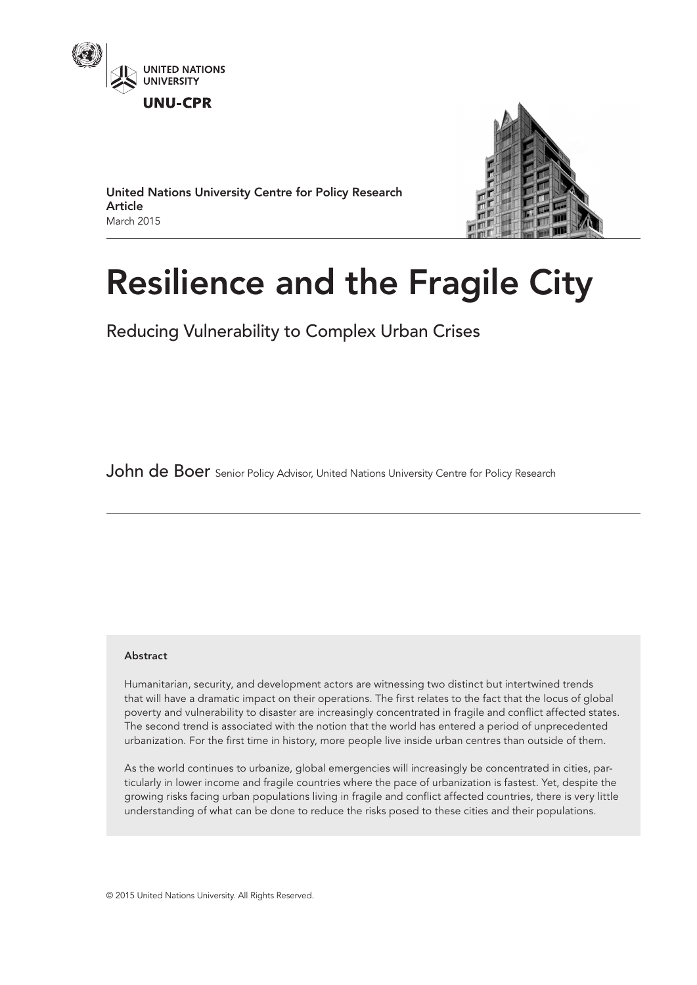



United Nations University Centre for Policy Research Article March 2015

# Resilience and the Fragile City

Reducing Vulnerability to Complex Urban Crises

John de Boer Senior Policy Advisor, United Nations University Centre for Policy Research

### Abstract

Humanitarian, security, and development actors are witnessing two distinct but intertwined trends that will have a dramatic impact on their operations. The first relates to the fact that the locus of global poverty and vulnerability to disaster are increasingly concentrated in fragile and conflict affected states. The second trend is associated with the notion that the world has entered a period of unprecedented urbanization. For the first time in history, more people live inside urban centres than outside of them.

As the world continues to urbanize, global emergencies will increasingly be concentrated in cities, particularly in lower income and fragile countries where the pace of urbanization is fastest. Yet, despite the growing risks facing urban populations living in fragile and conflict affected countries, there is very little understanding of what can be done to reduce the risks posed to these cities and their populations.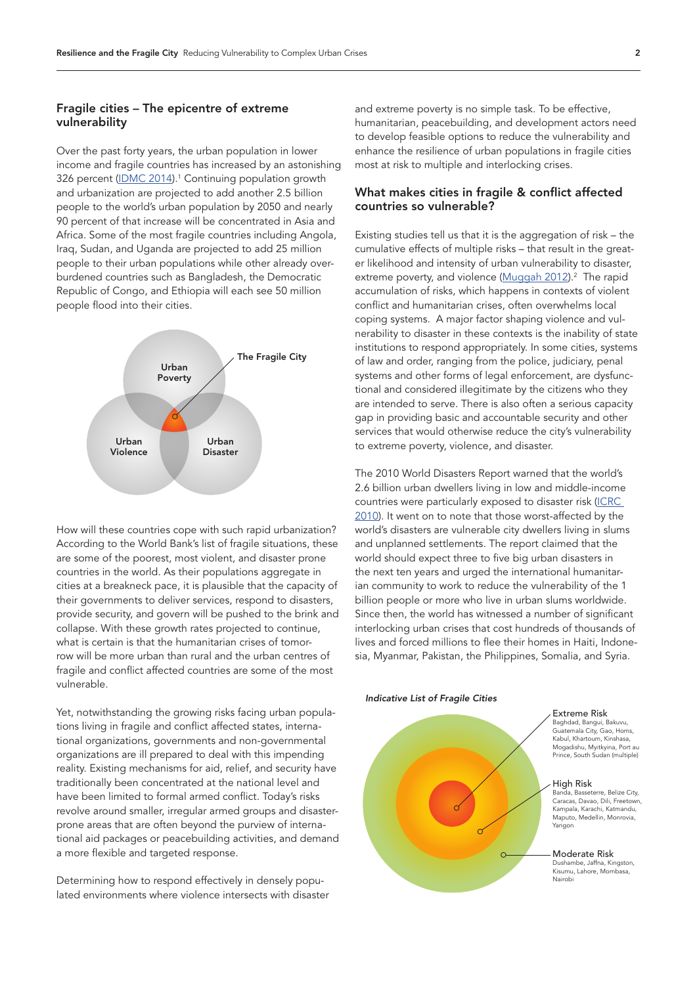# Fragile cities – The epicentre of extreme vulnerability

Over the past forty years, the urban population in lower income and fragile countries has increased by an astonishing 326 percent [\(IDMC 2014](http://www.internal-displacement.org/publications/2014/global-estimates-2014-people-displaced-by-disasters)).<sup>1</sup> Continuing population growth and urbanization are projected to add another 2.5 billion people to the world's urban population by 2050 and nearly 90 percent of that increase will be concentrated in Asia and Africa. Some of the most fragile countries including Angola, Iraq, Sudan, and Uganda are projected to add 25 million people to their urban populations while other already overburdened countries such as Bangladesh, the Democratic Republic of Congo, and Ethiopia will each see 50 million people flood into their cities.



How will these countries cope with such rapid urbanization? According to the World Bank's list of fragile situations, these are some of the poorest, most violent, and disaster prone countries in the world. As their populations aggregate in cities at a breakneck pace, it is plausible that the capacity of their governments to deliver services, respond to disasters, provide security, and govern will be pushed to the brink and collapse. With these growth rates projected to continue, what is certain is that the humanitarian crises of tomorrow will be more urban than rural and the urban centres of fragile and conflict affected countries are some of the most vulnerable.

Yet, notwithstanding the growing risks facing urban populations living in fragile and conflict affected states, international organizations, governments and non-governmental organizations are ill prepared to deal with this impending reality. Existing mechanisms for aid, relief, and security have traditionally been concentrated at the national level and have been limited to formal armed conflict. Today's risks revolve around smaller, irregular armed groups and disasterprone areas that are often beyond the purview of international aid packages or peacebuilding activities, and demand a more flexible and targeted response.

Determining how to respond effectively in densely populated environments where violence intersects with disaster

and extreme poverty is no simple task. To be effective, humanitarian, peacebuilding, and development actors need to develop feasible options to reduce the vulnerability and enhance the resilience of urban populations in fragile cities most at risk to multiple and interlocking crises.

# What makes cities in fragile & conflict affected countries so vulnerable?

Existing studies tell us that it is the aggregation of risk – the cumulative effects of multiple risks – that result in the greater likelihood and intensity of urban vulnerability to disaster, extreme poverty, and violence [\(Muggah 2012](http://www.idrc.ca/EN/PublishingImages/Researching-the-Urban-Dilemma-Baseline-study.pdf)).<sup>2</sup> The rapid accumulation of risks, which happens in contexts of violent conflict and humanitarian crises, often overwhelms local coping systems. A major factor shaping violence and vulnerability to disaster in these contexts is the inability of state institutions to respond appropriately. In some cities, systems of law and order, ranging from the police, judiciary, penal systems and other forms of legal enforcement, are dysfunctional and considered illegitimate by the citizens who they are intended to serve. There is also often a serious capacity gap in providing basic and accountable security and other services that would otherwise reduce the city's vulnerability to extreme poverty, violence, and disaster.

The 2010 World Disasters Report warned that the world's 2.6 billion urban dwellers living in low and middle-income countries were particularly exposed to disaster risk [\(ICRC](http://www.ifrc.org/Global/Publications/disasters/WDR/WDR2010-full.pdf)  [2010](http://www.ifrc.org/Global/Publications/disasters/WDR/WDR2010-full.pdf)). It went on to note that those worst-affected by the world's disasters are vulnerable city dwellers living in slums and unplanned settlements. The report claimed that the world should expect three to five big urban disasters in the next ten years and urged the international humanitarian community to work to reduce the vulnerability of the 1 billion people or more who live in urban slums worldwide. Since then, the world has witnessed a number of significant interlocking urban crises that cost hundreds of thousands of lives and forced millions to flee their homes in Haiti, Indonesia, Myanmar, Pakistan, the Philippines, Somalia, and Syria.

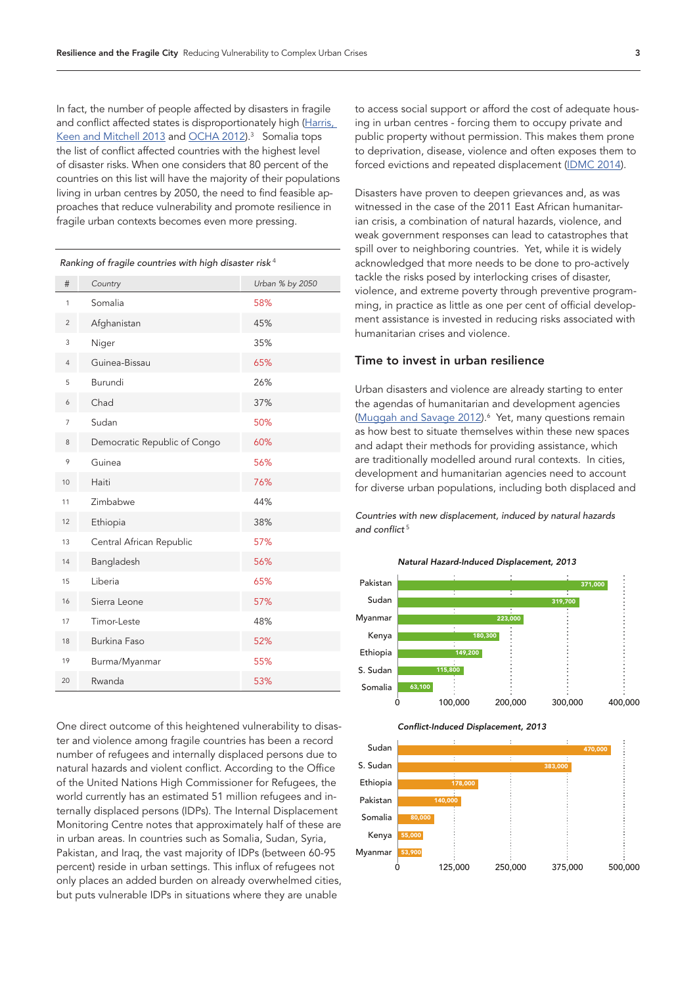In fact, the number of people affected by disasters in fragile and conflict affected states is disproportionately high (Harris, <u>[Keen and Mitchell 2013](http://www.odi.org.uk/sites/odi.org.uk/files/odi-assets/publications-opinion-files/8228.pdf)</u> and <u>OCHA 2012</u>).<sup>3</sup> Somalia tops the list of conflict affected countries with the highest level of disaster risks. When one considers that 80 percent of the countries on this list will have the majority of their populations living in urban centres by 2050, the need to find feasible approaches that reduce vulnerability and promote resilience in fragile urban contexts becomes even more pressing.

*Ranking of fragile countries with high disaster risk*<sup>4</sup>

| Kanking or haghe countiles with high disaster hisk |                              |                 |
|----------------------------------------------------|------------------------------|-----------------|
| #                                                  | Country                      | Urban % by 2050 |
| 1                                                  | Somalia                      | 58%             |
| $\overline{2}$                                     | Afghanistan                  | 45%             |
| 3                                                  | Niger                        | 35%             |
| $\overline{4}$                                     | Guinea-Bissau                | 65%             |
| 5                                                  | Burundi                      | 26%             |
| 6                                                  | Chad                         | 37%             |
| $\overline{7}$                                     | Sudan                        | 50%             |
| 8                                                  | Democratic Republic of Congo | 60%             |
| 9                                                  | Guinea                       | 56%             |
| 10                                                 | Haiti                        | 76%             |
| 11                                                 | Zimbabwe                     | 44%             |
| 12                                                 | Ethiopia                     | 38%             |
| 13                                                 | Central African Republic     | 57%             |
| 14                                                 | Bangladesh                   | 56%             |
| 15                                                 | Liberia                      | 65%             |
| 16                                                 | Sierra Leone                 | 57%             |
| 17                                                 | Timor-Leste                  | 48%             |
| 18                                                 | <b>Burkina Faso</b>          | 52%             |
| 19                                                 | Burma/Myanmar                | 55%             |
| 20                                                 | Rwanda                       | 53%             |

One direct outcome of this heightened vulnerability to disaster and violence among fragile countries has been a record number of refugees and internally displaced persons due to natural hazards and violent conflict. According to the Office of the United Nations High Commissioner for Refugees, the world currently has an estimated 51 million refugees and internally displaced persons (IDPs). The Internal Displacement Monitoring Centre notes that approximately half of these are in urban areas. In countries such as Somalia, Sudan, Syria, Pakistan, and Iraq, the vast majority of IDPs (between 60-95 percent) reside in urban settings. This influx of refugees not only places an added burden on already overwhelmed cities, but puts vulnerable IDPs in situations where they are unable

to access social support or afford the cost of adequate housing in urban centres - forcing them to occupy private and public property without permission. This makes them prone to deprivation, disease, violence and often exposes them to forced evictions and repeated displacement [\(IDMC 2014](http://www.internal-displacement.org/publications/2014/global-estimates-2014-people-displaced-by-disasters)).

Disasters have proven to deepen grievances and, as was witnessed in the case of the 2011 East African humanitarian crisis, a combination of natural hazards, violence, and weak government responses can lead to catastrophes that spill over to neighboring countries. Yet, while it is widely acknowledged that more needs to be done to pro-actively tackle the risks posed by interlocking crises of disaster, violence, and extreme poverty through preventive programming, in practice as little as one per cent of official development assistance is invested in reducing risks associated with humanitarian crises and violence.

#### Time to invest in urban resilience

Urban disasters and violence are already starting to enter the agendas of humanitarian and development agencies ([Muggah and Savage 2012](http://sites.tufts.edu/jha/archives/1524)).<sup>6</sup> Yet, many questions remain as how best to situate themselves within these new spaces and adapt their methods for providing assistance, which are traditionally modelled around rural contexts. In cities, development and humanitarian agencies need to account for diverse urban populations, including both displaced and

*Countries with new displacement, induced by natural hazards*  and conflict<sup>5</sup>





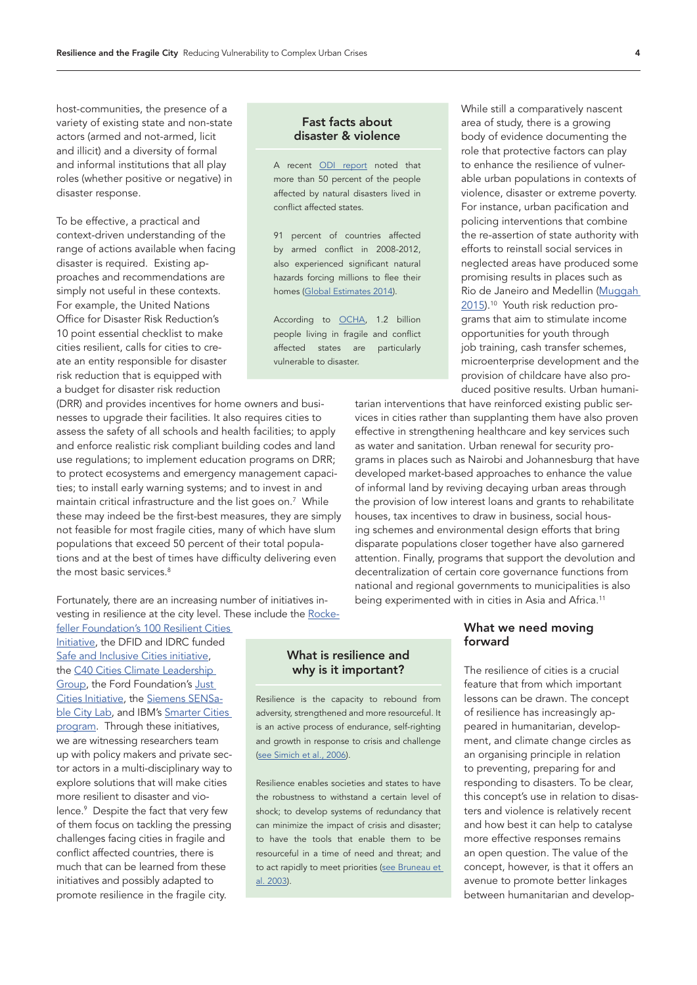host-communities, the presence of a variety of existing state and non-state actors (armed and not-armed, licit and illicit) and a diversity of formal and informal institutions that all play roles (whether positive or negative) in disaster response.

To be effective, a practical and context-driven understanding of the range of actions available when facing disaster is required. Existing approaches and recommendations are simply not useful in these contexts. For example, the United Nations Office for Disaster Risk Reduction's 10 point essential checklist to make cities resilient, calls for cities to create an entity responsible for disaster risk reduction that is equipped with a budget for disaster risk reduction

(DRR) and provides incentives for home owners and businesses to upgrade their facilities. It also requires cities to assess the safety of all schools and health facilities; to apply and enforce realistic risk compliant building codes and land use regulations; to implement education programs on DRR; to protect ecosystems and emergency management capacities; to install early warning systems; and to invest in and maintain critical infrastructure and the list goes on.7 While these may indeed be the first-best measures, they are simply not feasible for most fragile cities, many of which have slum populations that exceed 50 percent of their total populations and at the best of times have difficulty delivering even the most basic services.<sup>8</sup>

Fortunately, there are an increasing number of initiatives investing in resilience at the city level. These include the [Rocke-](http://www.100resilientcities.org/#/-_/)

[feller Foundation's 100 Resilient Cities](http://www.100resilientcities.org/#/-_/)  [Initiative](http://www.100resilientcities.org/#/-_/), the DFID and IDRC funded [Safe and Inclusive Cities initiative,](http://www.idrc.ca/EN/Programs/Social_and_Economic_Policy/saic/Pages/default.aspx) the [C40 Cities Climate Leadership](http://www.c40.org/)  [Group](http://www.c40.org/), the Ford Foundation's [Just](http://www.fordfoundation.org/issues/metropolitan-opportunity/just-cities)  [Cities Initiative](http://www.fordfoundation.org/issues/metropolitan-opportunity/just-cities), the [Siemens SENSa](http://www.siemens.com/innovation/apps/pof_microsite/_pof-fall-2013/_html_en/interview-city-lab.html)[ble City Lab](http://www.siemens.com/innovation/apps/pof_microsite/_pof-fall-2013/_html_en/interview-city-lab.html), and IBM's [Smarter Cities](http://www.ibm.com/smarterplanet/us/en/smarter_cities/overview/)  [program](http://www.ibm.com/smarterplanet/us/en/smarter_cities/overview/). Through these initiatives, we are witnessing researchers team up with policy makers and private sector actors in a multi-disciplinary way to explore solutions that will make cities more resilient to disaster and violence.9 Despite the fact that very few of them focus on tackling the pressing challenges facing cities in fragile and conflict affected countries, there is much that can be learned from these initiatives and possibly adapted to promote resilience in the fragile city.

#### Fast facts about disaster & violence

A recent [ODI report](http://www.odi.org.uk/publications/7257-disasters-conflicts-collide-improving-links-between-disaster-resilience-conflict-prevention) noted that more than 50 percent of the people affected by natural disasters lived in conflict affected states.

91 percent of countries affected by armed conflict in 2008-2012, also experienced significant natural hazards forcing millions to flee their homes [\(Global Estimates 2014\)](http://www.internal-displacement.org/publications/2014/global-estimates-2014-people-displaced-by-disasters).

According to [OCHA,](https://docs.unocha.org/sites/dms/Documents/World%20Humanitarian%20Data%20and%20Trends%202012%20Web.pdf) 1.2 billion people living in fragile and conflict affected states are particularly vulnerable to disaster.

While still a comparatively nascent area of study, there is a growing body of evidence documenting the role that protective factors can play to enhance the resilience of vulnerable urban populations in contexts of violence, disaster or extreme poverty. For instance, urban pacification and policing interventions that combine the re-assertion of state authority with efforts to reinstall social services in neglected areas have produced some promising results in places such as Rio de Janeiro and Medellin ([Muggah](http://www.foreignaffairs.com/articles/142760/robert-muggah/fixing-fragile-cities)  [2015](http://www.foreignaffairs.com/articles/142760/robert-muggah/fixing-fragile-cities)).10 Youth risk reduction programs that aim to stimulate income opportunities for youth through job training, cash transfer schemes, microenterprise development and the provision of childcare have also produced positive results. Urban humani-

tarian interventions that have reinforced existing public services in cities rather than supplanting them have also proven effective in strengthening healthcare and key services such as water and sanitation. Urban renewal for security programs in places such as Nairobi and Johannesburg that have developed market-based approaches to enhance the value of informal land by reviving decaying urban areas through the provision of low interest loans and grants to rehabilitate houses, tax incentives to draw in business, social housing schemes and environmental design efforts that bring disparate populations closer together have also garnered attention. Finally, programs that support the devolution and decentralization of certain core governance functions from national and regional governments to municipalities is also being experimented with in cities in Asia and Africa.<sup>11</sup>

# What we need moving forward

The resilience of cities is a crucial feature that from which important lessons can be drawn. The concept of resilience has increasingly appeared in humanitarian, development, and climate change circles as an organising principle in relation to preventing, preparing for and responding to disasters. To be clear, this concept's use in relation to disasters and violence is relatively recent and how best it can help to catalyse more effective responses remains an open question. The value of the concept, however, is that it offers an avenue to promote better linkages between humanitarian and develop-

# What is resilience and why is it important?

Resilience is the capacity to rebound from adversity, strengthened and more resourceful. It is an active process of endurance, self-righting and growth in response to crisis and challenge ([see Simich et al., 2006\)](http://www.ceris.metropolis.net/wp-content/uploads/pdf/research_publication/working_papers/wp43.pdf).

Resilience enables societies and states to have the robustness to withstand a certain level of shock; to develop systems of redundancy that can minimize the impact of crisis and disaster; to have the tools that enable them to be resourceful in a time of need and threat; and to act rapidly to meet priorities [\(see Bruneau et](http://civil.eng.buffalo.edu/~reinhorn/PUBLICATIONS/Bruneau%20et%20al%20(2003)%20EERI%20Spectra%20Resilience%20-%20Paper%20Body%2019(4)%20733-752.pdf)  [al. 2003](http://civil.eng.buffalo.edu/~reinhorn/PUBLICATIONS/Bruneau%20et%20al%20(2003)%20EERI%20Spectra%20Resilience%20-%20Paper%20Body%2019(4)%20733-752.pdf)).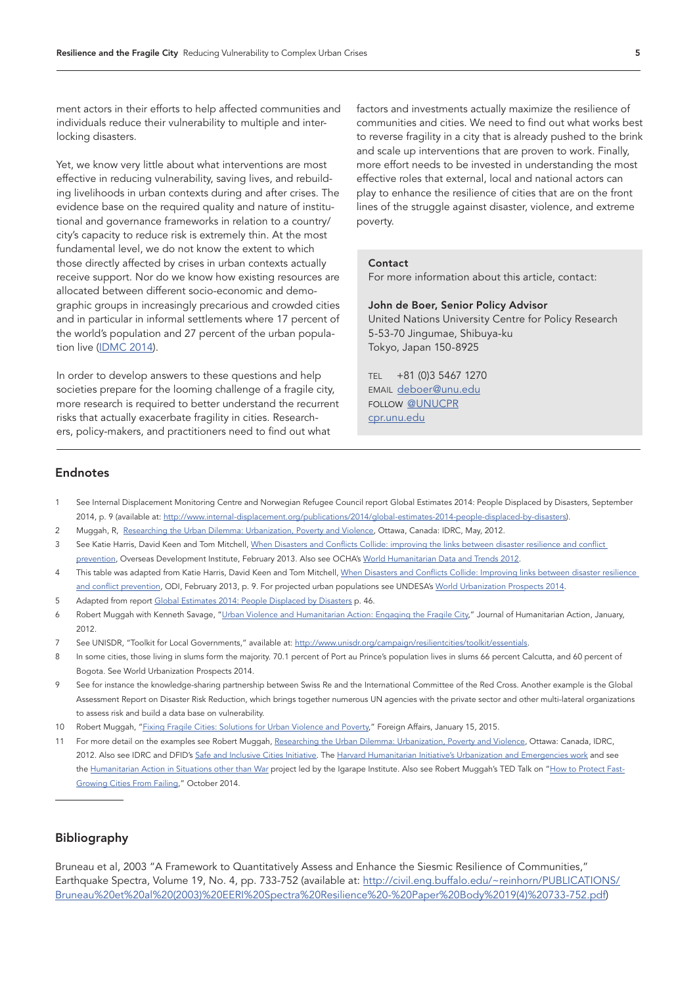ment actors in their efforts to help affected communities and individuals reduce their vulnerability to multiple and interlocking disasters.

Yet, we know very little about what interventions are most effective in reducing vulnerability, saving lives, and rebuilding livelihoods in urban contexts during and after crises. The evidence base on the required quality and nature of institutional and governance frameworks in relation to a country/ city's capacity to reduce risk is extremely thin. At the most fundamental level, we do not know the extent to which those directly affected by crises in urban contexts actually receive support. Nor do we know how existing resources are allocated between different socio-economic and demographic groups in increasingly precarious and crowded cities and in particular in informal settlements where 17 percent of the world's population and 27 percent of the urban population live ([IDMC 2014\)](http://www.internal-displacement.org/publications/2014/global-estimates-2014-people-displaced-by-disasters).

In order to develop answers to these questions and help societies prepare for the looming challenge of a fragile city, more research is required to better understand the recurrent risks that actually exacerbate fragility in cities. Researchers, policy-makers, and practitioners need to find out what

factors and investments actually maximize the resilience of communities and cities. We need to find out what works best to reverse fragility in a city that is already pushed to the brink and scale up interventions that are proven to work. Finally, more effort needs to be invested in understanding the most effective roles that external, local and national actors can play to enhance the resilience of cities that are on the front lines of the struggle against disaster, violence, and extreme poverty.

#### **Contact**

For more information about this article, contact:

#### John de Boer, Senior Policy Advisor

United Nations University Centre for Policy Research 5-53-70 Jingumae, Shibuya-ku Tokyo, Japan 150-8925

TEL +81 (0)3 5467 1270 EMAIL [deboer@unu.edu](mailto:deboer@unu.edu) FOLLOW [@UNUCPR](mailto:https://twitter.com/unucpr?subject=) [cpr.unu.edu](mailto:http://cpr.unu.edu?subject=)

#### Endnotes

- 1 See Internal Displacement Monitoring Centre and Norwegian Refugee Council report Global Estimates 2014: People Displaced by Disasters, September 2014, p. 9 (available at: [http://www.internal-displacement.org/publications/2014/global-estimates-2014-people-displaced-by-disasters\)](http://www.internal-displacement.org/publications/2014/global-estimates-2014-people-displaced-by-disasters).
- 2 Muggah, R, [Researching the Urban Dilemma: Urbanization, Poverty and Violence](http://www.idrc.ca/EN/PublishingImages/Researching-the-Urban-Dilemma-Baseline-study.pdf), Ottawa, Canada: IDRC, May, 2012.
- 3 See Katie Harris, David Keen and Tom Mitchell, When Disasters and Conflicts Collide: improving the links between disaster resilience and conflict [prevention,](http://www.odi.org.uk/sites/odi.org.uk/files/odi-assets/publications-opinion-files/8228.pdf) Overseas Development Institute, February 2013. Also see OCHA's [World Humanitarian Data and Trends 2012](https://docs.unocha.org/sites/dms/Documents/World Humanitarian Data and Trends 2012 Web.pdf).
- 4 This table was adapted from Katie Harris, David Keen and Tom Mitchell, When Disasters and Conflicts Collide: Improving links between disaster resilience [and conflict prevention](http://www.odi.org.uk/sites/odi.org.uk/files/odi-assets/publications-opinion-files/8228.pdf), ODI, February 2013, p. 9. For projected urban populations see UNDESA's [World Urbanization Prospects 2014.](http://esa.un.org/unpd/wup/)
- 5 Adapted from report [Global Estimates 2014: People Displaced by Disasters](http://www.internal-displacement.org/publications/2014/global-estimates-2014-people-displaced-by-disasters) p. 46.
- 6 Robert Muggah with Kenneth Savage, "[Urban Violence and Humanitarian Action: Engaging the Fragile City,](http://sites.tufts.edu/jha/archives/1524)" Journal of Humanitarian Action, January, 2012.
- 7 See UNISDR, "Toolkit for Local Governments," available at: [http://www.unisdr.org/campaign/resilientcities/toolkit/essentials.](http://www.unisdr.org/campaign/resilientcities/toolkit/essentials)
- 8 In some cities, those living in slums form the majority. 70.1 percent of Port au Prince's population lives in slums 66 percent Calcutta, and 60 percent of Bogota. See World Urbanization Prospects 2014.
- 9 See for instance the knowledge-sharing partnership between Swiss Re and the International Committee of the Red Cross. Another example is the Global Assessment Report on Disaster Risk Reduction, which brings together numerous UN agencies with the private sector and other multi-lateral organizations to assess risk and build a data base on vulnerability.
- 10 Robert Muggah, ["Fixing Fragile Cities: Solutions for Urban Violence and Poverty,](http://www.foreignaffairs.com/articles/142760/robert-muggah/fixing-fragile-cities)" Foreign Affairs, January 15, 2015.
- 11 For more detail on the examples see Robert Muggah, [Researching the Urban Dilemma: Urbanization, Poverty and Violence](http://www.idrc.ca/EN/PublishingImages/Researching-the-Urban-Dilemma-Baseline-study.pdf), Ottawa: Canada, IDRC, 2012. Also see IDRC and DFID's [Safe and Inclusive Cities Initiative](http://www.idrc.ca/EN/Programs/Social_and_Economic_Policy/saic/Pages/default.aspx). The [Harvard Humanitarian Initiative's Urbanization and Emergencies work](http://hhi.harvard.edu/programs-and-research/urbanization-and-humanitarian-emergencies) and see the [Humanitarian Action in Situations other than War](http://www.idrc.ca/EN/Programs/Social_and_Economic_Policy/Governance_Security_and_Justice/Pages/ProjectDetails.aspx?ProjectNumber=106494) project led by the Igarape Institute. Also see Robert Muggah's TED Talk on "[How to Protect Fast-](http://www.ted.com/talks/robert_muggah_how_to_protect_fast_growing_cities_from_failing?language=en)[Growing Cities From Failing](http://www.ted.com/talks/robert_muggah_how_to_protect_fast_growing_cities_from_failing?language=en)," October 2014.

# Bibliography

Bruneau et al, 2003 "A Framework to Quantitatively Assess and Enhance the Siesmic Resilience of Communities," Earthquake Spectra, Volume 19, No. 4, pp. 733-752 (available at: http://civil.eng.buffalo.edu/~reinhorn/PUBLICATIONS/ Bruneau%20et%20al%20(2003)%20EERI%20Spectra%20Resilience%20-%20Paper%20Body%2019(4)%20733-752.pdf)